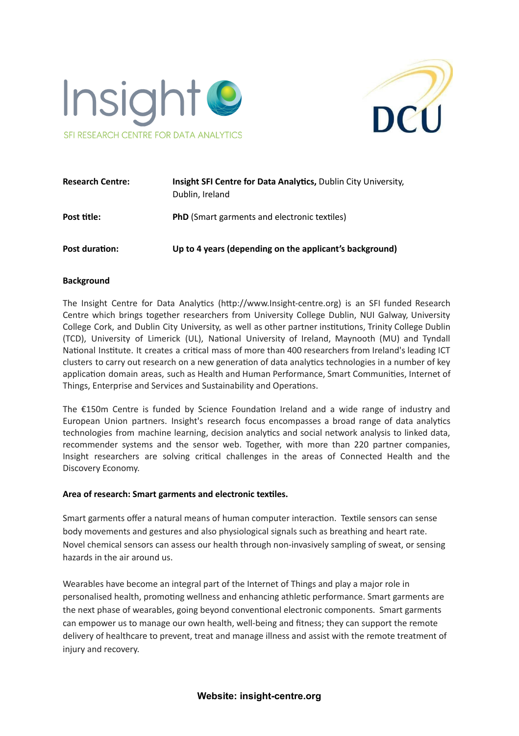



| <b>Research Centre:</b> | <b>Insight SFI Centre for Data Analytics, Dublin City University,</b><br>Dublin, Ireland |
|-------------------------|------------------------------------------------------------------------------------------|
| Post title:             | <b>PhD</b> (Smart garments and electronic textiles)                                      |
| Post duration:          | Up to 4 years (depending on the applicant's background)                                  |

#### **Background**

The Insight Centre for Data Analytics (http://www.Insight-centre.org) is an SFI funded Research Centre which brings together researchers from University College Dublin, NUI Galway, University College Cork, and Dublin City University, as well as other partner institutions, Trinity College Dublin (TCD), University of Limerick (UL), National University of Ireland, Maynooth (MU) and Tyndall National Institute. It creates a critical mass of more than 400 researchers from Ireland's leading ICT clusters to carry out research on a new generation of data analytics technologies in a number of key application domain areas, such as Health and Human Performance, Smart Communities, Internet of Things, Enterprise and Services and Sustainability and Operations.

The  $£150m$  Centre is funded by Science Foundation Ireland and a wide range of industry and European Union partners. Insight's research focus encompasses a broad range of data analytics technologies from machine learning, decision analytics and social network analysis to linked data, recommender systems and the sensor web. Together, with more than 220 partner companies, Insight researchers are solving critical challenges in the areas of Connected Health and the Discovery Economy.

#### **Area of research: Smart garments and electronic texles.**

Smart garments offer a natural means of human computer interaction. Textile sensors can sense body movements and gestures and also physiological signals such as breathing and heart rate. Novel chemical sensors can assess our health through non-invasively sampling of sweat, or sensing hazards in the air around us.

Wearables have become an integral part of the Internet of Things and play a major role in personalised health, promoting wellness and enhancing athletic performance. Smart garments are the next phase of wearables, going beyond conventional electronic components. Smart garments can empower us to manage our own health, well-being and fitness; they can support the remote delivery of healthcare to prevent, treat and manage illness and assist with the remote treatment of injury and recovery.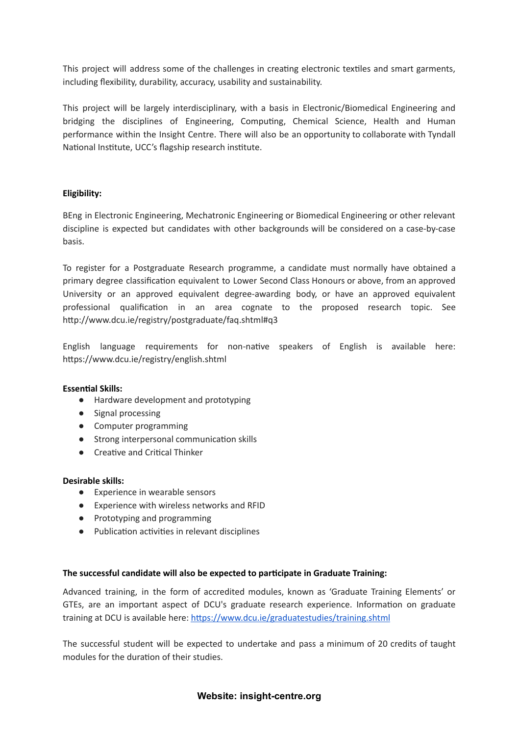This project will address some of the challenges in creating electronic textiles and smart garments, including flexibility, durability, accuracy, usability and sustainability.

This project will be largely interdisciplinary, with a basis in Electronic/Biomedical Engineering and bridging the disciplines of Engineering, Computing, Chemical Science, Health and Human performance within the Insight Centre. There will also be an opportunity to collaborate with Tyndall National Institute, UCC's flagship research institute.

## **Eligibility:**

BEng in Electronic Engineering, Mechatronic Engineering or Biomedical Engineering or other relevant discipline is expected but candidates with other backgrounds will be considered on a case-by-case basis.

To register for a Postgraduate Research programme, a candidate must normally have obtained a primary degree classification equivalent to Lower Second Class Honours or above, from an approved University or an approved equivalent degree-awarding body, or have an approved equivalent professional qualification in an area cognate to the proposed research topic. See http://www.dcu.ie/registry/postgraduate/faq.shtml#q3

English language requirements for non-native speakers of English is available here: https://www.dcu.ie/registry/english.shtml

#### **Essential Skills:**

- Hardware development and prototyping
- Signal processing
- Computer programming
- Strong interpersonal communication skills
- Creative and Critical Thinker

#### **Desirable skills:**

- Experience in wearable sensors
- Experience with wireless networks and RFID
- Prototyping and programming
- Publication activities in relevant disciplines

#### **The successful candidate will also be expected to parcipate in Graduate Training:**

Advanced training, in the form of accredited modules, known as 'Graduate Training Elements' or GTEs, are an important aspect of DCU's graduate research experience. Information on graduate training at DCU is available here: https://www.dcu.ie/graduatestudies/training.shtml

The successful student will be expected to undertake and pass a minimum of 20 credits of taught modules for the duration of their studies.

#### **Website: insight-centre.org**